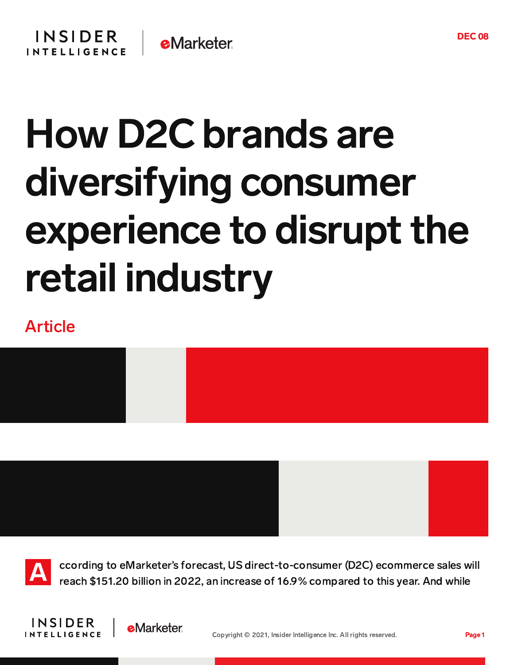## How D2C brands are diversifying consumer experience to disrupt the retail industry

## Article

A

ccording to eMarketer's forecast, US direct-to-consumer (D2C) ecommerce sales will reach \$151.20 billion in 2022, an increase of 16.9% compared to this year. And while

Copyright © 2021, Insider Intelligence Inc. All rights reserved. Page 1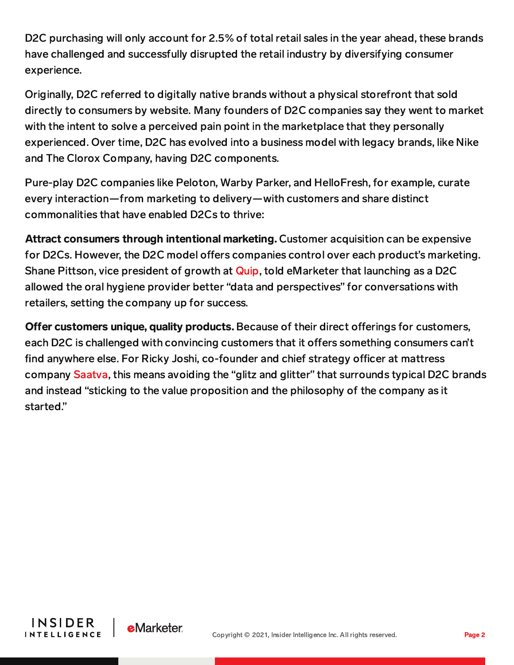D2C purchasing will only account for 2.5% of total retail sales in the year ahead, these brands have challenged and successfully disrupted the retail industry by diversifying consumer experience.

Originally, D2C referred to digitally native brands without a physical storefront that sold directly to consumers by website. Many founders of D2C companies say they went to market with the intent to solve a perceived pain point in the marketplace that they personally experienced. Over time, D2C has evolved into a business model with legacy brands, like Nike and The Clorox Company, having D2C components.

Pure-play D2C companies like Peloton, Warby Parker, and HelloFresh, for example, curate every interaction—from marketing to delivery—with customers and share distinct commonalities that have enabled D2Cs to thrive:

Attract consumers through intentional marketing. Customer acquisition can be expensive for D2Cs. However, the D2C model offers companies control over each product's marketing. Shane Pittson, vice president of growth at [Quip,](https://prolink.emarketer.com/content/what-quip-100-million-raise-says-about-future-of-d2c-brands) told eMarketer that launching as a D2C allowed the oral hygiene provider better "data and perspectives" for conversations with retailers, setting the company up for success.

Offer customers unique, quality products. Because of their direct offerings for customers, each D2C is challenged with convincing customers that it offers something consumers can't find anywhere else. For Ricky Joshi, co-founder and chief strategy officer at mattress company [Saatva,](https://prolink.emarketer.com/content/q-a-saatva-on-popularizing-accessible-luxury-d2c-brand) this means avoiding the "glitz and glitter" that surrounds typical D2C brands and instead "sticking to the value proposition and the philosophy of the company as it started."



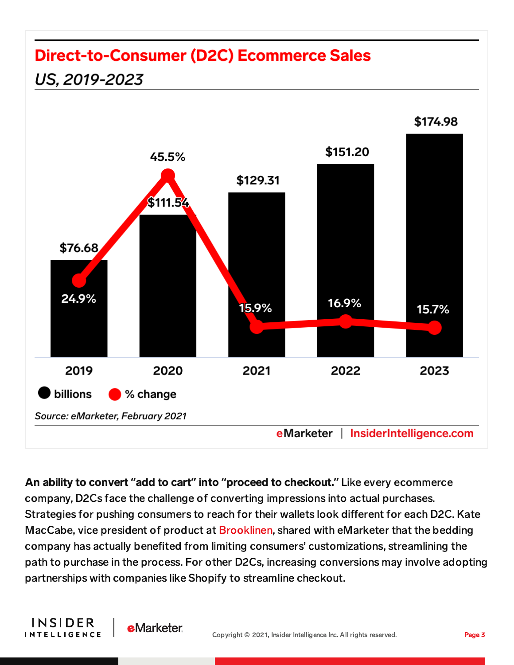## **Direct-to-Consumer (D2C) Ecommerce Sales**



An ability to convert **"**add to cart**"** into **"**proceed to checkout.**"** Like every ecommerce company, D2Cs face the challenge of converting impressions into actual purchases. Strategies for pushing consumers to reach for their wallets look different for each D2C. Kate MacCabe, vice president of product at [Brooklinen,](https://prolink.emarketer.com/content/q-a-brooklinen-forges-path-comfort) shared with eMarketer that the bedding company has actually benefited from limiting consumers' customizations, streamlining the path to purchase in the process. For other D2Cs, increasing conversions may involve adopting partnerships with companies like Shopify to streamline checkout.